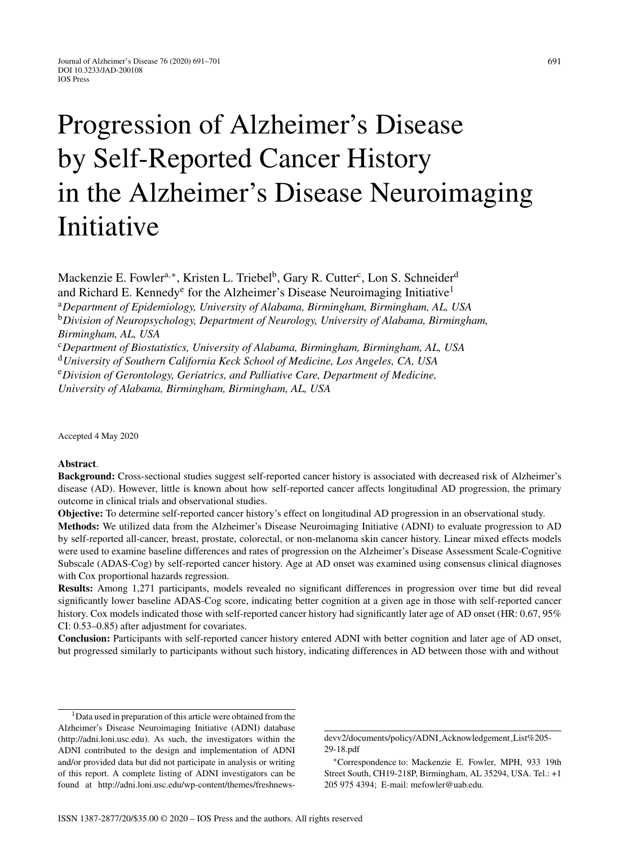# Progression of Alzheimer's Disease by Self-Reported Cancer History in the Alzheimer's Disease Neuroimaging Initiative

Mackenzie E. Fowler<sup>a,∗</sup>, Kristen L. Triebel<sup>b</sup>, Gary R. Cutter<sup>c</sup>, Lon S. Schneider<sup>d</sup> and Richard E. Kennedy<sup>e</sup> for the Alzheimer's Disease Neuroimaging Initiative<sup>1</sup> <sup>a</sup>*Department of Epidemiology, University of Alabama, Birmingham, Birmingham, AL, USA* <sup>b</sup>*Division of Neuropsychology, Department of Neurology, University of Alabama, Birmingham, Birmingham, AL, USA* <sup>c</sup>*Department of Biostatistics, University of Alabama, Birmingham, Birmingham, AL, USA* <sup>d</sup>*University of Southern California Keck School of Medicine, Los Angeles, CA, USA* <sup>e</sup>*Division of Gerontology, Geriatrics, and Palliative Care, Department of Medicine, University of Alabama, Birmingham, Birmingham, AL, USA*

Accepted 4 May 2020

#### **Abstract**.

**Background:** Cross-sectional studies suggest self-reported cancer history is associated with decreased risk of Alzheimer's disease (AD). However, little is known about how self-reported cancer affects longitudinal AD progression, the primary outcome in clinical trials and observational studies.

**Objective:** To determine self-reported cancer history's effect on longitudinal AD progression in an observational study.

**Methods:** We utilized data from the Alzheimer's Disease Neuroimaging Initiative (ADNI) to evaluate progression to AD by self-reported all-cancer, breast, prostate, colorectal, or non-melanoma skin cancer history. Linear mixed effects models were used to examine baseline differences and rates of progression on the Alzheimer's Disease Assessment Scale-Cognitive Subscale (ADAS-Cog) by self-reported cancer history. Age at AD onset was examined using consensus clinical diagnoses with Cox proportional hazards regression.

**Results:** Among 1,271 participants, models revealed no significant differences in progression over time but did reveal significantly lower baseline ADAS-Cog score, indicating better cognition at a given age in those with self-reported cancer history. Cox models indicated those with self-reported cancer history had significantly later age of AD onset (HR: 0.67, 95%) CI: 0.53–0.85) after adjustment for covariates.

**Conclusion:** Participants with self-reported cancer history entered ADNI with better cognition and later age of AD onset, but progressed similarly to participants without such history, indicating differences in AD between those with and without

<sup>&</sup>lt;sup>1</sup>Data used in preparation of this article were obtained from the Alzheimer's Disease Neuroimaging Initiative (ADNI) database ([http://adni.loni.usc.edu\)](http://adni.loni.usc.edu). As such, the investigators within the ADNI contributed to the design and implementation of ADNI and/or provided data but did not participate in analysis or writing of this report. A complete listing of ADNI investigators can be found at [http://adni.loni.usc.edu/wp-content/themes/freshnews-](http://adni.loni.usc.edu/wp-content/themes/freshnews-devv2/documents/policy/ADNI_Acknowledgement_List%205-29-18.pdf)

devv2/documents/policy/ADNI Acknowledgement List%205- 29-18.pdf

<sup>∗</sup>Correspondence to: Mackenzie E. Fowler, MPH, 933 19th Street South, CH19-218P, Birmingham, AL 35294, USA. Tel.: +1 205 975 4394; E-mail: [mefowler@uab.edu](mailto:mefowler@uab.edu).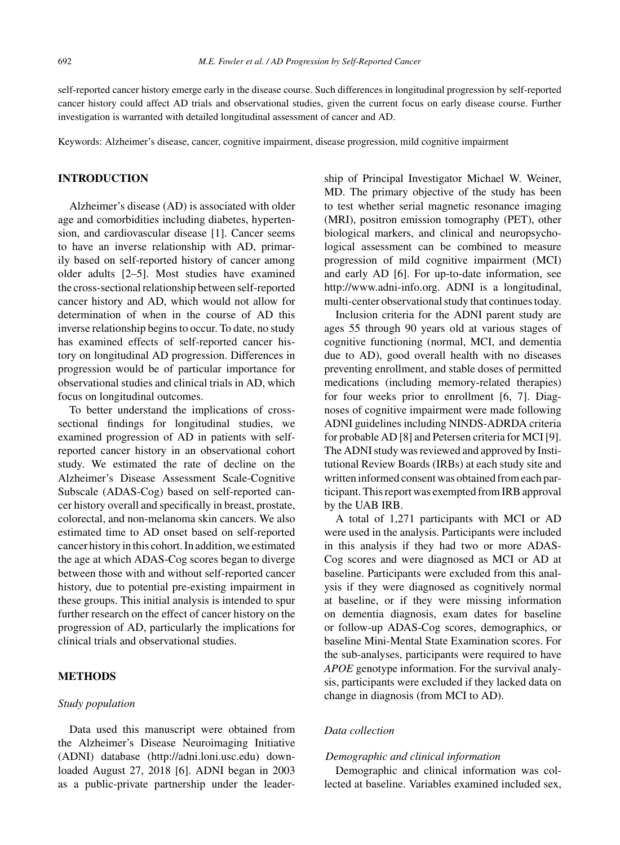self-reported cancer history emerge early in the disease course. Such differences in longitudinal progression by self-reported cancer history could affect AD trials and observational studies, given the current focus on early disease course. Further investigation is warranted with detailed longitudinal assessment of cancer and AD.

Keywords: Alzheimer's disease, cancer, cognitive impairment, disease progression, mild cognitive impairment

# **INTRODUCTION**

Alzheimer's disease (AD) is associated with older age and comorbidities including diabetes, hypertension, and cardiovascular disease [1]. Cancer seems to have an inverse relationship with AD, primarily based on self-reported history of cancer among older adults [2–5]. Most studies have examined the cross-sectional relationship between self-reported cancer history and AD, which would not allow for determination of when in the course of AD this inverse relationship begins to occur. To date, no study has examined effects of self-reported cancer history on longitudinal AD progression. Differences in progression would be of particular importance for observational studies and clinical trials in AD, which focus on longitudinal outcomes.

To better understand the implications of crosssectional findings for longitudinal studies, we examined progression of AD in patients with selfreported cancer history in an observational cohort study. We estimated the rate of decline on the Alzheimer's Disease Assessment Scale-Cognitive Subscale (ADAS-Cog) based on self-reported cancer history overall and specifically in breast, prostate, colorectal, and non-melanoma skin cancers. We also estimated time to AD onset based on self-reported cancer history in this cohort. In addition, we estimated the age at which ADAS-Cog scores began to diverge between those with and without self-reported cancer history, due to potential pre-existing impairment in these groups. This initial analysis is intended to spur further research on the effect of cancer history on the progression of AD, particularly the implications for clinical trials and observational studies.

## **METHODS**

#### *Study population*

Data used this manuscript were obtained from the Alzheimer's Disease Neuroimaging Initiative (ADNI) database (http://adni.loni.usc.edu) downloaded August 27, 2018 [6]. ADNI began in 2003 as a public-private partnership under the leadership of Principal Investigator Michael W. Weiner, MD. The primary objective of the study has been to test whether serial magnetic resonance imaging (MRI), positron emission tomography (PET), other biological markers, and clinical and neuropsychological assessment can be combined to measure progression of mild cognitive impairment (MCI) and early AD [6]. For up-to-date information, see http://www.adni-info.org. ADNI is a longitudinal, multi-center observational study that continues today.

Inclusion criteria for the ADNI parent study are ages 55 through 90 years old at various stages of cognitive functioning (normal, MCI, and dementia due to AD), good overall health with no diseases preventing enrollment, and stable doses of permitted medications (including memory-related therapies) for four weeks prior to enrollment [6, 7]. Diagnoses of cognitive impairment were made following ADNI guidelines including NINDS-ADRDA criteria for probable AD [8] and Petersen criteria for MCI [9]. The ADNI study was reviewed and approved by Institutional Review Boards (IRBs) at each study site and written informed consent was obtained from each participant. This report was exempted from IRB approval by the UAB IRB.

A total of 1,271 participants with MCI or AD were used in the analysis. Participants were included in this analysis if they had two or more ADAS-Cog scores and were diagnosed as MCI or AD at baseline. Participants were excluded from this analysis if they were diagnosed as cognitively normal at baseline, or if they were missing information on dementia diagnosis, exam dates for baseline or follow-up ADAS-Cog scores, demographics, or baseline Mini-Mental State Examination scores. For the sub-analyses, participants were required to have *APOE* genotype information. For the survival analysis, participants were excluded if they lacked data on change in diagnosis (from MCI to AD).

## *Data collection*

## *Demographic and clinical information*

Demographic and clinical information was collected at baseline. Variables examined included sex,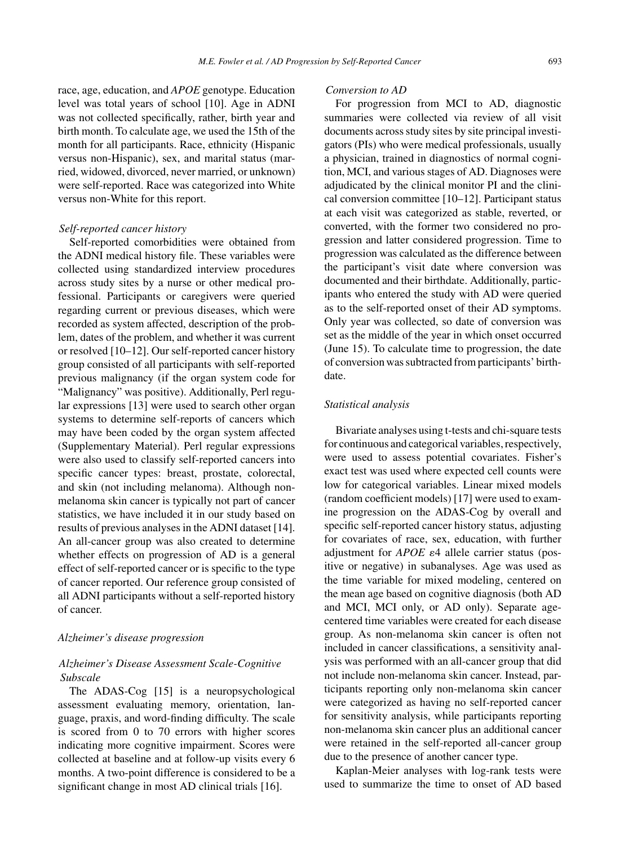race, age, education, and *APOE* genotype. Education level was total years of school [10]. Age in ADNI was not collected specifically, rather, birth year and birth month. To calculate age, we used the 15th of the month for all participants. Race, ethnicity (Hispanic versus non-Hispanic), sex, and marital status (married, widowed, divorced, never married, or unknown) were self-reported. Race was categorized into White versus non-White for this report.

## *Self-reported cancer history*

Self-reported comorbidities were obtained from the ADNI medical history file. These variables were collected using standardized interview procedures across study sites by a nurse or other medical professional. Participants or caregivers were queried regarding current or previous diseases, which were recorded as system affected, description of the problem, dates of the problem, and whether it was current or resolved [10–12]. Our self-reported cancer history group consisted of all participants with self-reported previous malignancy (if the organ system code for "Malignancy" was positive). Additionally, Perl regular expressions [13] were used to search other organ systems to determine self-reports of cancers which may have been coded by the organ system affected (Supplementary Material). Perl regular expressions were also used to classify self-reported cancers into specific cancer types: breast, prostate, colorectal, and skin (not including melanoma). Although nonmelanoma skin cancer is typically not part of cancer statistics, we have included it in our study based on results of previous analyses in the ADNI dataset [14]. An all-cancer group was also created to determine whether effects on progression of AD is a general effect of self-reported cancer or is specific to the type of cancer reported. Our reference group consisted of all ADNI participants without a self-reported history of cancer.

#### *Alzheimer's disease progression*

# *Alzheimer's Disease Assessment Scale-Cognitive Subscale*

The ADAS-Cog [15] is a neuropsychological assessment evaluating memory, orientation, language, praxis, and word-finding difficulty. The scale is scored from 0 to 70 errors with higher scores indicating more cognitive impairment. Scores were collected at baseline and at follow-up visits every 6 months. A two-point difference is considered to be a significant change in most AD clinical trials [16].

## *Conversion to AD*

For progression from MCI to AD, diagnostic summaries were collected via review of all visit documents across study sites by site principal investigators (PIs) who were medical professionals, usually a physician, trained in diagnostics of normal cognition, MCI, and various stages of AD. Diagnoses were adjudicated by the clinical monitor PI and the clinical conversion committee [10–12]. Participant status at each visit was categorized as stable, reverted, or converted, with the former two considered no progression and latter considered progression. Time to progression was calculated as the difference between the participant's visit date where conversion was documented and their birthdate. Additionally, participants who entered the study with AD were queried as to the self-reported onset of their AD symptoms. Only year was collected, so date of conversion was set as the middle of the year in which onset occurred (June 15). To calculate time to progression, the date of conversion was subtracted from participants' birthdate.

#### *Statistical analysis*

Bivariate analyses using t-tests and chi-square tests for continuous and categorical variables, respectively, were used to assess potential covariates. Fisher's exact test was used where expected cell counts were low for categorical variables. Linear mixed models (random coefficient models) [17] were used to examine progression on the ADAS-Cog by overall and specific self-reported cancer history status, adjusting for covariates of race, sex, education, with further adjustment for *APOE*  $\varepsilon$ 4 allele carrier status (positive or negative) in subanalyses. Age was used as the time variable for mixed modeling, centered on the mean age based on cognitive diagnosis (both AD and MCI, MCI only, or AD only). Separate agecentered time variables were created for each disease group. As non-melanoma skin cancer is often not included in cancer classifications, a sensitivity analysis was performed with an all-cancer group that did not include non-melanoma skin cancer. Instead, participants reporting only non-melanoma skin cancer were categorized as having no self-reported cancer for sensitivity analysis, while participants reporting non-melanoma skin cancer plus an additional cancer were retained in the self-reported all-cancer group due to the presence of another cancer type.

Kaplan-Meier analyses with log-rank tests were used to summarize the time to onset of AD based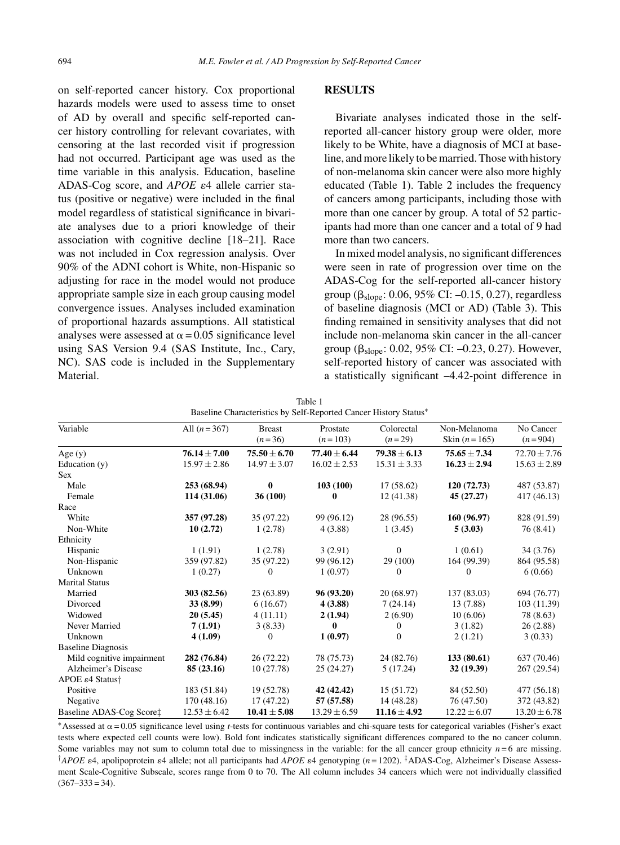on self-reported cancer history. Cox proportional hazards models were used to assess time to onset of AD by overall and specific self-reported cancer history controlling for relevant covariates, with censoring at the last recorded visit if progression had not occurred. Participant age was used as the time variable in this analysis. Education, baseline ADAS-Cog score, and *APOE*  $\varepsilon$ 4 allele carrier status (positive or negative) were included in the final model regardless of statistical significance in bivariate analyses due to a priori knowledge of their association with cognitive decline [18–21]. Race was not included in Cox regression analysis. Over 90% of the ADNI cohort is White, non-Hispanic so adjusting for race in the model would not produce appropriate sample size in each group causing model convergence issues. Analyses included examination of proportional hazards assumptions. All statistical analyses were assessed at  $\alpha$  = 0.05 significance level using SAS Version 9.4 (SAS Institute, Inc., Cary, NC). SAS code is included in the Supplementary Material.

## **RESULTS**

Bivariate analyses indicated those in the selfreported all-cancer history group were older, more likely to be White, have a diagnosis of MCI at baseline, and more likely to be married. Those with history of non-melanoma skin cancer were also more highly educated (Table 1). Table 2 includes the frequency of cancers among participants, including those with more than one cancer by group. A total of 52 participants had more than one cancer and a total of 9 had more than two cancers.

In mixed model analysis, no significant differences were seen in rate of progression over time on the ADAS-Cog for the self-reported all-cancer history group ( $\beta_{slope}$ : 0.06, 95% CI: -0.15, 0.27), regardless of baseline diagnosis (MCI or AD) (Table 3). This finding remained in sensitivity analyses that did not include non-melanoma skin cancer in the all-cancer group ( $\beta_{slope}$ : 0.02, 95% CI: -0.23, 0.27). However, self-reported history of cancer was associated with a statistically significant –4.42-point difference in

| Variable                     | All $(n=367)$    | <b>Breast</b><br>$(n=36)$ | Prostate<br>$(n=103)$ | Colorectal<br>$(n=29)$ | Non-Melanoma<br>Skin $(n = 165)$ | No Cancer<br>$(n=904)$ |
|------------------------------|------------------|---------------------------|-----------------------|------------------------|----------------------------------|------------------------|
| Age $(y)$                    | $76.14 \pm 7.00$ | $75.50 \pm 6.70$          | $77.40 \pm 6.44$      | $79.38 \pm 6.13$       | $75.65 \pm 7.34$                 | $72.70 \pm 7.76$       |
| Education (y)                | $15.97 \pm 2.86$ | $14.97 \pm 3.07$          | $16.02 \pm 2.53$      | $15.31 \pm 3.33$       | $16.23 \pm 2.94$                 | $15.63 \pm 2.89$       |
| <b>Sex</b>                   |                  |                           |                       |                        |                                  |                        |
| Male                         | 253 (68.94)      | $\mathbf{0}$              | 103(100)              | 17(58.62)              | 120(72.73)                       | 487 (53.87)            |
| Female                       | 114 (31.06)      | 36 (100)                  | 0                     | 12(41.38)              | 45(27.27)                        | 417 (46.13)            |
| Race                         |                  |                           |                       |                        |                                  |                        |
| White                        | 357 (97.28)      | 35 (97.22)                | 99 (96.12)            | 28 (96.55)             | 160 (96.97)                      | 828 (91.59)            |
| Non-White                    | 10(2.72)         | 1(2.78)                   | 4(3.88)               | 1(3.45)                | 5(3.03)                          | 76 (8.41)              |
| Ethnicity                    |                  |                           |                       |                        |                                  |                        |
| Hispanic                     | 1(1.91)          | 1(2.78)                   | 3(2.91)               | $\overline{0}$         | 1(0.61)                          | 34 (3.76)              |
| Non-Hispanic                 | 359 (97.82)      | 35 (97.22)                | 99 (96.12)            | 29 (100)               | 164 (99.39)                      | 864 (95.58)            |
| Unknown                      | 1(0.27)          | $\Omega$                  | 1(0.97)               | $\Omega$               | $\Omega$                         | 6(0.66)                |
| <b>Marital Status</b>        |                  |                           |                       |                        |                                  |                        |
| Married                      | 303 (82.56)      | 23 (63.89)                | 96 (93.20)            | 20 (68.97)             | 137 (83.03)                      | 694 (76.77)            |
| Divorced                     | 33(8.99)         | 6(16.67)                  | 4(3.88)               | 7(24.14)               | 13(7.88)                         | 103 (11.39)            |
| Widowed                      | 20(5.45)         | 4(11.11)                  | 2(1.94)               | 2(6.90)                | 10(6.06)                         | 78 (8.63)              |
| Never Married                | 7(1.91)          | 3(8.33)                   | $\mathbf{0}$          | $\overline{0}$         | 3(1.82)                          | 26(2.88)               |
| Unknown                      | 4(1.09)          | $\Omega$                  | 1(0.97)               | $\Omega$               | 2(1.21)                          | 3(0.33)                |
| <b>Baseline Diagnosis</b>    |                  |                           |                       |                        |                                  |                        |
| Mild cognitive impairment    | 282 (76.84)      | 26(72.22)                 | 78 (75.73)            | 24 (82.76)             | 133(80.61)                       | 637 (70.46)            |
| Alzheimer's Disease          | 85 (23.16)       | 10(27.78)                 | 25 (24.27)            | 5(17.24)               | 32 (19.39)                       | 267 (29.54)            |
| APOE $\varepsilon$ 4 Status† |                  |                           |                       |                        |                                  |                        |
| Positive                     | 183 (51.84)      | 19(52.78)                 | 42 (42.42)            | 15(51.72)              | 84 (52.50)                       | 477 (56.18)            |
| Negative                     | 170(48.16)       | 17(47.22)                 | 57 (57.58)            | 14 (48.28)             | 76 (47.50)                       | 372 (43.82)            |
| Baseline ADAS-Cog Score‡     | $12.53 \pm 6.42$ | $10.41 \pm 5.08$          | $13.29 \pm 6.59$      | $11.16 \pm 4.92$       | $12.22 \pm 6.07$                 | $13.20 \pm 6.78$       |

Table 1 Baseline Characteristics by Self-Reported Cancer History Status∗

 $*$ Assessed at  $\alpha$  = 0.05 significance level using *t*-tests for continuous variables and chi-square tests for categorical variables (Fisher's exact tests where expected cell counts were low). Bold font indicates statistically significant differences compared to the no cancer column. Some variables may not sum to column total due to missingness in the variable: for the all cancer group ethnicity  $n = 6$  are missing. <sup>†</sup>*APOE* ε4, apolipoprotein ε4 allele; not all participants had *APOE* ε4 genotyping (*n* = 1202). <sup>‡</sup>ADAS-Cog, Alzheimer's Disease Assessment Scale-Cognitive Subscale, scores range from 0 to 70. The All column includes 34 cancers which were not individually classified  $(367-333=34)$ .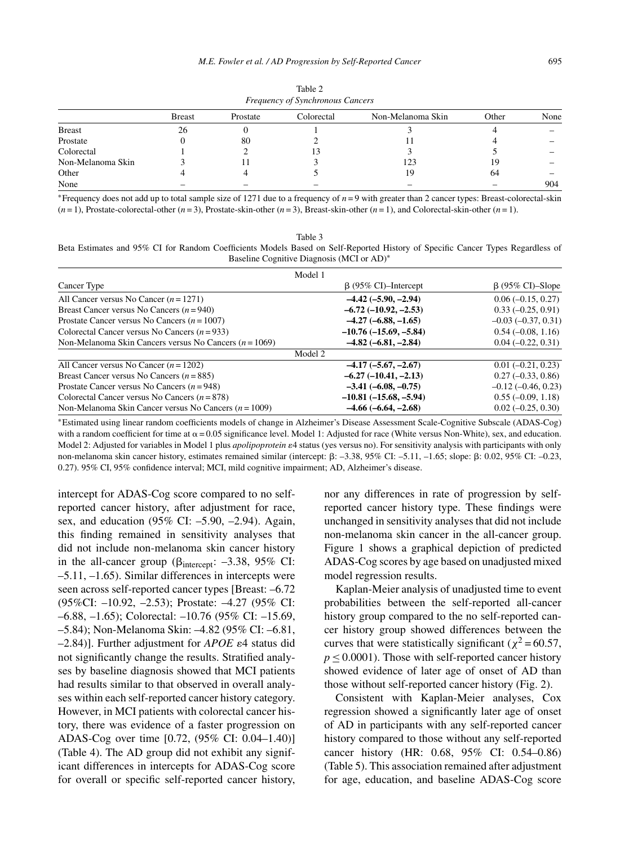| <i>Frequency of Synchronous Cancers</i> |               |          |            |                   |       |      |
|-----------------------------------------|---------------|----------|------------|-------------------|-------|------|
|                                         | <b>Breast</b> | Prostate | Colorectal | Non-Melanoma Skin | Other | None |
| <b>Breast</b>                           | 26            |          |            |                   |       |      |
| Prostate                                |               | 80       |            |                   |       |      |
| Colorectal                              |               |          | IJ         |                   |       |      |
| Non-Melanoma Skin                       |               |          |            | 123               |       |      |
| Other                                   |               |          |            | 19                | 64    |      |
| None                                    |               |          |            |                   |       | 904  |

Table 2 *Frequency of Synchronous Cancers*

∗Frequency does not add up to total sample size of 1271 due to a frequency of *n* = 9 with greater than 2 cancer types: Breast-colorectal-skin  $(n=1)$ , Prostate-colorectal-other  $(n=3)$ , Prostate-skin-other  $(n=3)$ , Breast-skin-other  $(n=1)$ , and Colorectal-skin-other  $(n=1)$ .

Table 3 Beta Estimates and 95% CI for Random Coefficients Models Based on Self-Reported History of Specific Cancer Types Regardless of Baseline Cognitive Diagnosis (MCI or AD)∗

|                                                            | Model 1                    |                        |
|------------------------------------------------------------|----------------------------|------------------------|
| Cancer Type                                                | $\beta$ (95% CI)–Intercept | $\beta$ (95% CI)–Slope |
| All Cancer versus No Cancer $(n = 1271)$                   | $-4.42(-5.90, -2.94)$      | $0.06(-0.15, 0.27)$    |
| Breast Cancer versus No Cancers $(n=940)$                  | $-6.72(-10.92,-2.53)$      | $0.33(-0.25, 0.91)$    |
| Prostate Cancer versus No Cancers ( $n = 1007$ )           | $-4.27(-6.88,-1.65)$       | $-0.03(-0.37, 0.31)$   |
| Colorectal Cancer versus No Cancers $(n=933)$              | $-10.76(-15.69, -5.84)$    | $0.54(-0.08, 1.16)$    |
| Non-Melanoma Skin Cancers versus No Cancers ( $n = 1069$ ) | $-4.82(-6.81,-2.84)$       | $0.04 (-0.22, 0.31)$   |
|                                                            | Model 2                    |                        |
| All Cancer versus No Cancer $(n = 1202)$                   | $-4.17(-5.67,-2.67)$       | $0.01 (-0.21, 0.23)$   |
| Breast Cancer versus No Cancers $(n = 885)$                | $-6.27(-10.41,-2.13)$      | $0.27(-0.33, 0.86)$    |
| Prostate Cancer versus No Cancers $(n = 948)$              | $-3.41(-6.08,-0.75)$       | $-0.12(-0.46, 0.23)$   |
| Colorectal Cancer versus No Cancers $(n = 878)$            | $-10.81(-15.68, -5.94)$    | $0.55(-0.09, 1.18)$    |
| Non-Melanoma Skin Cancer versus No Cancers $(n = 1009)$    | $-4.66(-6.64,-2.68)$       | $0.02(-0.25, 0.30)$    |

∗Estimated using linear random coefficients models of change in Alzheimer's Disease Assessment Scale-Cognitive Subscale (ADAS-Cog) with a random coefficient for time at  $\alpha = 0.05$  significance level. Model 1: Adjusted for race (White versus Non-White), sex, and education. Model 2: Adjusted for variables in Model 1 plus *apolipoprotein*  $\varepsilon$ 4 status (yes versus no). For sensitivity analysis with participants with only non-melanoma skin cancer history, estimates remained similar (intercept:  $\beta$ : –3.38, 95% CI: –5.11, –1.65; slope:  $\beta$ : 0.02, 95% CI: –0.23, 0.27). 95% CI, 95% confidence interval; MCI, mild cognitive impairment; AD, Alzheimer's disease.

intercept for ADAS-Cog score compared to no selfreported cancer history, after adjustment for race, sex, and education (95% CI: –5.90, –2.94). Again, this finding remained in sensitivity analyses that did not include non-melanoma skin cancer history in the all-cancer group ( $\beta$ <sub>intercent</sub>:  $-3.38$ , 95% CI: –5.11, –1.65). Similar differences in intercepts were seen across self-reported cancer types [Breast: –6.72 (95%CI: –10.92, –2.53); Prostate: –4.27 (95% CI: –6.88, –1.65); Colorectal: –10.76 (95% CI: –15.69, –5.84); Non-Melanoma Skin: –4.82 (95% CI: –6.81,  $(-2.84)$ ]. Further adjustment for *APOE*  $\varepsilon$ 4 status did not significantly change the results. Stratified analyses by baseline diagnosis showed that MCI patients had results similar to that observed in overall analyses within each self-reported cancer history category. However, in MCI patients with colorectal cancer history, there was evidence of a faster progression on ADAS-Cog over time [0.72, (95% CI: 0.04–1.40)] (Table 4). The AD group did not exhibit any significant differences in intercepts for ADAS-Cog score for overall or specific self-reported cancer history,

nor any differences in rate of progression by selfreported cancer history type. These findings were unchanged in sensitivity analyses that did not include non-melanoma skin cancer in the all-cancer group. Figure 1 shows a graphical depiction of predicted ADAS-Cog scores by age based on unadjusted mixed model regression results.

Kaplan-Meier analysis of unadjusted time to event probabilities between the self-reported all-cancer history group compared to the no self-reported cancer history group showed differences between the curves that were statistically significant ( $\chi^2$  = 60.57,  $p \leq 0.0001$ ). Those with self-reported cancer history showed evidence of later age of onset of AD than those without self-reported cancer history (Fig. 2).

Consistent with Kaplan-Meier analyses, Cox regression showed a significantly later age of onset of AD in participants with any self-reported cancer history compared to those without any self-reported cancer history (HR: 0.68, 95% CI: 0.54–0.86) (Table 5). This association remained after adjustment for age, education, and baseline ADAS-Cog score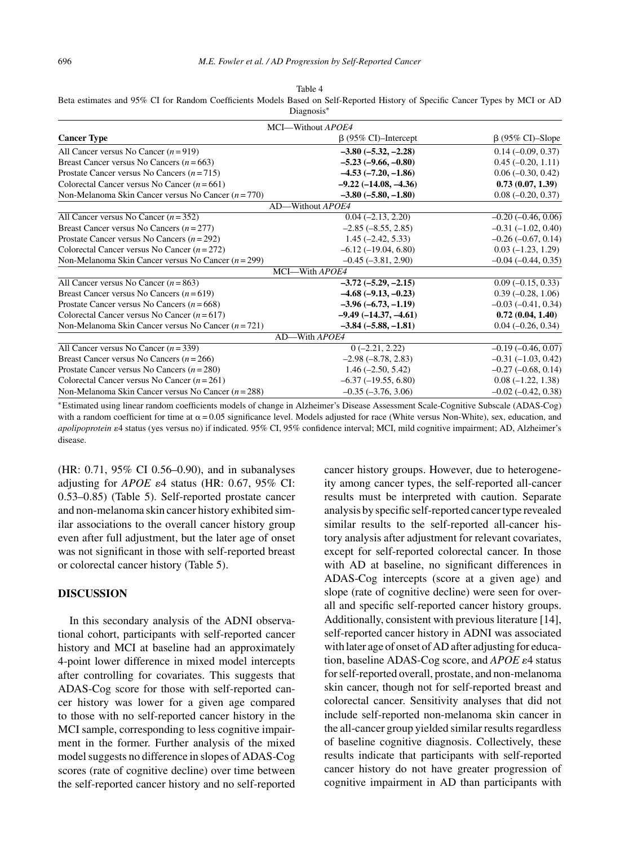|                                                       | Diagnosis <sup>*</sup>     |                         |
|-------------------------------------------------------|----------------------------|-------------------------|
|                                                       | MCI-Without APOE4          |                         |
| <b>Cancer Type</b>                                    | $\beta$ (95% CI)–Intercept | $\beta$ (95% CI)–Slope  |
| All Cancer versus No Cancer $(n=919)$                 | $-3.80(-5.32,-2.28)$       | $0.14 (-0.09, 0.37)$    |
| Breast Cancer versus No Cancers $(n=663)$             | $-5.23(-9.66, -0.80)$      | $0.45 (-0.20, 1.11)$    |
| Prostate Cancer versus No Cancers $(n = 715)$         | $-4.53(-7.20,-1.86)$       | $0.06 (-0.30, 0.42)$    |
| Colorectal Cancer versus No Cancer $(n=661)$          | $-9.22(-14.08,-4.36)$      | 0.73(0.07, 1.39)        |
| Non-Melanoma Skin Cancer versus No Cancer $(n = 770)$ | $-3.80(-5.80,-1.80)$       | $0.08 (-0.20, 0.37)$    |
|                                                       | AD-Without APOE4           |                         |
| All Cancer versus No Cancer $(n = 352)$               | $0.04 (-2.13, 2.20)$       | $-0.20$ $(-0.46, 0.06)$ |
| Breast Cancer versus No Cancers $(n = 277)$           | $-2.85(-8.55, 2.85)$       | $-0.31(-1.02, 0.40)$    |
| Prostate Cancer versus No Cancers $(n = 292)$         | $1.45 (-2.42, 5.33)$       | $-0.26(-0.67, 0.14)$    |
| Colorectal Cancer versus No Cancer $(n = 272)$        | $-6.12(-19.04, 6.80)$      | $0.03(-1.23, 1.29)$     |
| Non-Melanoma Skin Cancer versus No Cancer $(n = 299)$ | $-0.45$ $(-3.81, 2.90)$    | $-0.04 (-0.44, 0.35)$   |
|                                                       | MCI-With APOE4             |                         |
| All Cancer versus No Cancer $(n = 863)$               | $-3.72(-5.29, -2.15)$      | $0.09(-0.15, 0.33)$     |
| Breast Cancer versus No Cancers $(n=619)$             | $-4.68(-9.13,-0.23)$       | $0.39(-0.28, 1.06)$     |
| Prostate Cancer versus No Cancers $(n = 668)$         | $-3.96(-6.73,-1.19)$       | $-0.03(-0.41, 0.34)$    |
| Colorectal Cancer versus No Cancer $(n=617)$          | $-9.49(-14.37,-4.61)$      | 0.72(0.04, 1.40)        |
| Non-Melanoma Skin Cancer versus No Cancer $(n = 721)$ | $-3.84(-5.88,-1.81)$       | $0.04 (-0.26, 0.34)$    |
|                                                       | AD-With APOE4              |                         |
| All Cancer versus No Cancer $(n=339)$                 | $0(-2.21, 2.22)$           | $-0.19(-0.46, 0.07)$    |
| Breast Cancer versus No Cancers $(n = 266)$           | $-2.98(-8.78, 2.83)$       | $-0.31(-1.03, 0.42)$    |
| Prostate Cancer versus No Cancers $(n = 280)$         | $1.46 (-2.50, 5.42)$       | $-0.27(-0.68, 0.14)$    |
| Colorectal Cancer versus No Cancer $(n=261)$          | $-6.37(-19.55, 6.80)$      | $0.08(-1.22, 1.38)$     |
| Non-Melanoma Skin Cancer versus No Cancer $(n = 288)$ | $-0.35(-3.76, 3.06)$       | $-0.02$ $(-0.42, 0.38)$ |

Table 4 Beta estimates and 95% CI for Random Coefficients Models Based on Self-Reported History of Specific Cancer Types by MCI or AD

∗Estimated using linear random coefficients models of change in Alzheimer's Disease Assessment Scale-Cognitive Subscale (ADAS-Cog) with a random coefficient for time at  $\alpha = 0.05$  significance level. Models adjusted for race (White versus Non-White), sex, education, and apolipoprotein e4 status (yes versus no) if indicated. 95% CI, 95% confidence interval; MCI, mild cognitive impairment; AD, Alzheimer's disease.

(HR: 0.71, 95% CI 0.56–0.90), and in subanalyses adjusting for  $APOE$   $\varepsilon$ 4 status (HR: 0.67, 95% CI: 0.53–0.85) (Table 5). Self-reported prostate cancer and non-melanoma skin cancer history exhibited similar associations to the overall cancer history group even after full adjustment, but the later age of onset was not significant in those with self-reported breast or colorectal cancer history (Table 5).

## **DISCUSSION**

In this secondary analysis of the ADNI observational cohort, participants with self-reported cancer history and MCI at baseline had an approximately 4-point lower difference in mixed model intercepts after controlling for covariates. This suggests that ADAS-Cog score for those with self-reported cancer history was lower for a given age compared to those with no self-reported cancer history in the MCI sample, corresponding to less cognitive impairment in the former. Further analysis of the mixed model suggests no difference in slopes of ADAS-Cog scores (rate of cognitive decline) over time between the self-reported cancer history and no self-reported

cancer history groups. However, due to heterogeneity among cancer types, the self-reported all-cancer results must be interpreted with caution. Separate analysis by specific self-reported cancer type revealed similar results to the self-reported all-cancer history analysis after adjustment for relevant covariates, except for self-reported colorectal cancer. In those with AD at baseline, no significant differences in ADAS-Cog intercepts (score at a given age) and slope (rate of cognitive decline) were seen for overall and specific self-reported cancer history groups. Additionally, consistent with previous literature [14], self-reported cancer history in ADNI was associated with later age of onset of AD after adjusting for education, baseline ADAS-Cog score, and *APOE*  $\varepsilon$ 4 status for self-reported overall, prostate, and non-melanoma skin cancer, though not for self-reported breast and colorectal cancer. Sensitivity analyses that did not include self-reported non-melanoma skin cancer in the all-cancer group yielded similar results regardless of baseline cognitive diagnosis. Collectively, these results indicate that participants with self-reported cancer history do not have greater progression of cognitive impairment in AD than participants with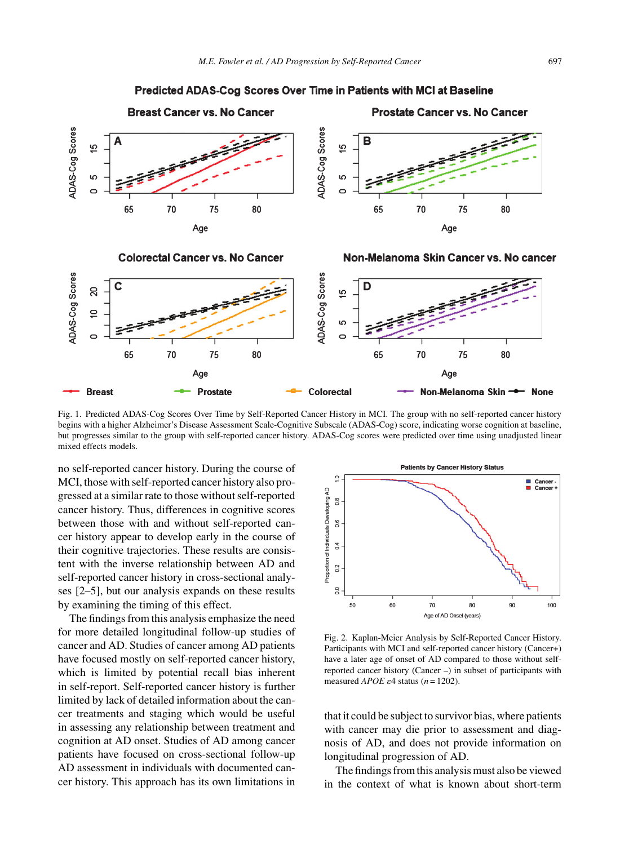



Fig. 1. Predicted ADAS-Cog Scores Over Time by Self-Reported Cancer History in MCI. The group with no self-reported cancer history begins with a higher Alzheimer's Disease Assessment Scale-Cognitive Subscale (ADAS-Cog) score, indicating worse cognition at baseline, but progresses similar to the group with self-reported cancer history. ADAS-Cog scores were predicted over time using unadjusted linear mixed effects models.

no self-reported cancer history. During the course of MCI, those with self-reported cancer history also progressed at a similar rate to those without self-reported cancer history. Thus, differences in cognitive scores between those with and without self-reported cancer history appear to develop early in the course of their cognitive trajectories. These results are consistent with the inverse relationship between AD and self-reported cancer history in cross-sectional analyses [2–5], but our analysis expands on these results by examining the timing of this effect.

The findings from this analysis emphasize the need for more detailed longitudinal follow-up studies of cancer and AD. Studies of cancer among AD patients have focused mostly on self-reported cancer history, which is limited by potential recall bias inherent in self-report. Self-reported cancer history is further limited by lack of detailed information about the cancer treatments and staging which would be useful in assessing any relationship between treatment and cognition at AD onset. Studies of AD among cancer patients have focused on cross-sectional follow-up AD assessment in individuals with documented cancer history. This approach has its own limitations in



Fig. 2. Kaplan-Meier Analysis by Self-Reported Cancer History. Participants with MCI and self-reported cancer history (Cancer+) have a later age of onset of AD compared to those without selfreported cancer history (Cancer –) in subset of participants with measured *APOE*  $\varepsilon$ 4 status (*n* = 1202).

that it could be subject to survivor bias, where patients with cancer may die prior to assessment and diagnosis of AD, and does not provide information on longitudinal progression of AD.

The findings from this analysis must also be viewed in the context of what is known about short-term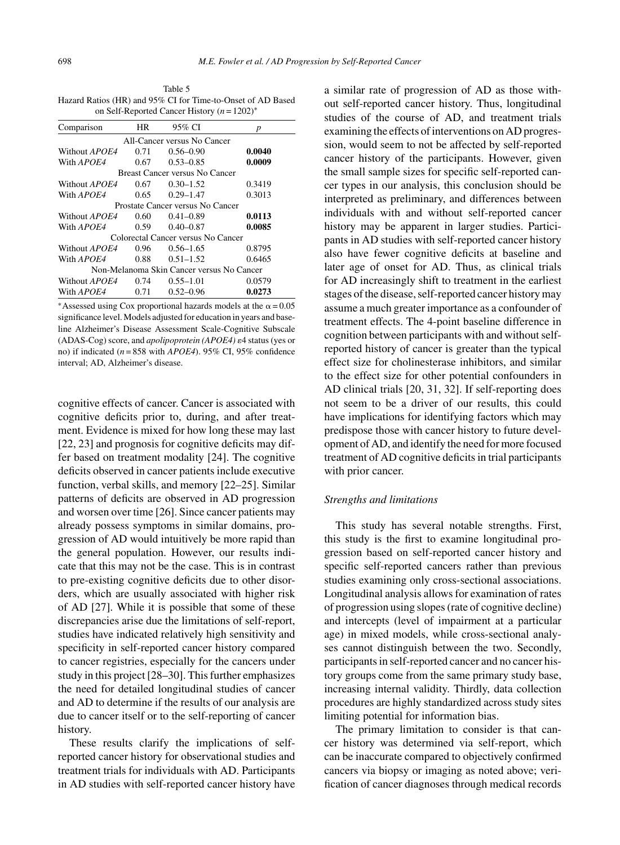Table 5 Hazard Ratios (HR) and 95% CI for Time-to-Onset of AD Based on Self-Reported Cancer History (*n* = 1202)∗

| Comparison                                | HR   | 95% CI                           | p      |  |  |  |
|-------------------------------------------|------|----------------------------------|--------|--|--|--|
|                                           |      | All-Cancer versus No Cancer      |        |  |  |  |
| Without <i>APOE4</i>                      | 0.71 | $0.56 - 0.90$                    | 0.0040 |  |  |  |
| With APOE4                                | 0.67 | $0.53 - 0.85$                    | 0.0009 |  |  |  |
| Breast Cancer versus No Cancer            |      |                                  |        |  |  |  |
| Without <i>APOE4</i>                      | 0.67 | $0.30 - 1.52$                    | 0.3419 |  |  |  |
| With APOE4                                | 0.65 | $0.29 - 1.47$                    | 0.3013 |  |  |  |
|                                           |      | Prostate Cancer versus No Cancer |        |  |  |  |
| Without APOE4                             | 0.60 | $0.41 - 0.89$                    | 0.0113 |  |  |  |
| With APOE4                                |      | $0.59$ $0.40 - 0.87$             | 0.0085 |  |  |  |
| Colorectal Cancer versus No Cancer        |      |                                  |        |  |  |  |
| Without $APOE4$ 0.96 0.56–1.65            |      |                                  | 0.8795 |  |  |  |
| With APOE4                                | 0.88 | $0.51 - 1.52$                    | 0.6465 |  |  |  |
| Non-Melanoma Skin Cancer versus No Cancer |      |                                  |        |  |  |  |
| Without $APOE4$ 0.74                      |      | $0.55 - 1.01$                    | 0.0579 |  |  |  |
| With APOE4                                | 0.71 | $0.52 - 0.96$                    | 0.0273 |  |  |  |

\*Assessed using Cox proportional hazards models at the  $\alpha = 0.05$ significance level. Models adjusted for education in years and baseline Alzheimer's Disease Assessment Scale-Cognitive Subscale (ADAS-Cog) score, and *apolipoprotein* (APOE4)  $\varepsilon$ 4 status (yes or no) if indicated (*n* = 858 with *APOE4*). 95% CI, 95% confidence interval; AD, Alzheimer's disease.

cognitive effects of cancer. Cancer is associated with cognitive deficits prior to, during, and after treatment. Evidence is mixed for how long these may last [22, 23] and prognosis for cognitive deficits may differ based on treatment modality [24]. The cognitive deficits observed in cancer patients include executive function, verbal skills, and memory [22–25]. Similar patterns of deficits are observed in AD progression and worsen over time [26]. Since cancer patients may already possess symptoms in similar domains, progression of AD would intuitively be more rapid than the general population. However, our results indicate that this may not be the case. This is in contrast to pre-existing cognitive deficits due to other disorders, which are usually associated with higher risk of AD [27]. While it is possible that some of these discrepancies arise due the limitations of self-report, studies have indicated relatively high sensitivity and specificity in self-reported cancer history compared to cancer registries, especially for the cancers under study in this project [28–30]. This further emphasizes the need for detailed longitudinal studies of cancer and AD to determine if the results of our analysis are due to cancer itself or to the self-reporting of cancer history.

These results clarify the implications of selfreported cancer history for observational studies and treatment trials for individuals with AD. Participants in AD studies with self-reported cancer history have a similar rate of progression of AD as those without self-reported cancer history. Thus, longitudinal studies of the course of AD, and treatment trials examining the effects of interventions on AD progression, would seem to not be affected by self-reported cancer history of the participants. However, given the small sample sizes for specific self-reported cancer types in our analysis, this conclusion should be interpreted as preliminary, and differences between individuals with and without self-reported cancer history may be apparent in larger studies. Participants in AD studies with self-reported cancer history also have fewer cognitive deficits at baseline and later age of onset for AD. Thus, as clinical trials for AD increasingly shift to treatment in the earliest stages of the disease, self-reported cancer history may assume a much greater importance as a confounder of treatment effects. The 4-point baseline difference in cognition between participants with and without selfreported history of cancer is greater than the typical effect size for cholinesterase inhibitors, and similar to the effect size for other potential confounders in AD clinical trials [20, 31, 32]. If self-reporting does not seem to be a driver of our results, this could have implications for identifying factors which may predispose those with cancer history to future development of AD, and identify the need for more focused treatment of AD cognitive deficits in trial participants with prior cancer.

## *Strengths and limitations*

This study has several notable strengths. First, this study is the first to examine longitudinal progression based on self-reported cancer history and specific self-reported cancers rather than previous studies examining only cross-sectional associations. Longitudinal analysis allows for examination of rates of progression using slopes (rate of cognitive decline) and intercepts (level of impairment at a particular age) in mixed models, while cross-sectional analyses cannot distinguish between the two. Secondly, participants in self-reported cancer and no cancer history groups come from the same primary study base, increasing internal validity. Thirdly, data collection procedures are highly standardized across study sites limiting potential for information bias.

The primary limitation to consider is that cancer history was determined via self-report, which can be inaccurate compared to objectively confirmed cancers via biopsy or imaging as noted above; verification of cancer diagnoses through medical records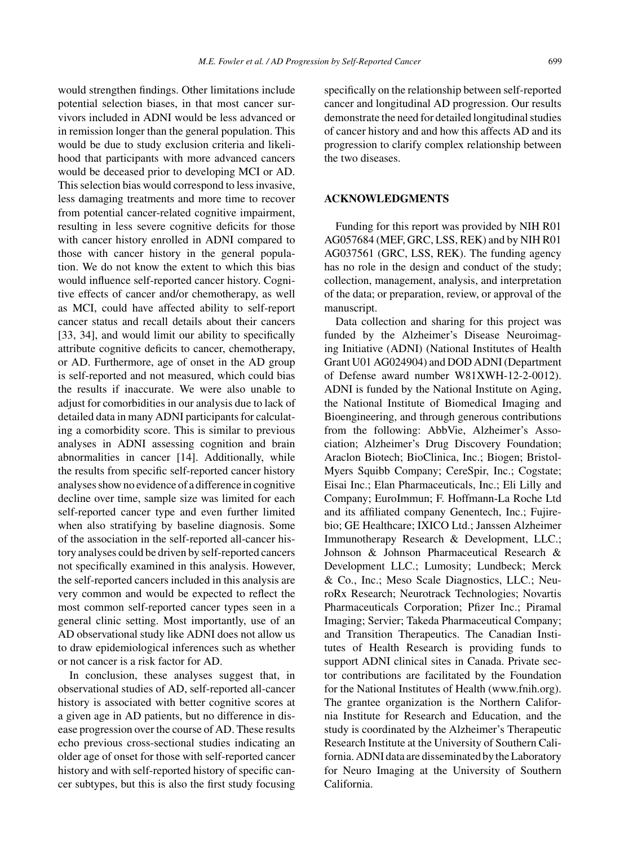would strengthen findings. Other limitations include potential selection biases, in that most cancer survivors included in ADNI would be less advanced or in remission longer than the general population. This would be due to study exclusion criteria and likelihood that participants with more advanced cancers would be deceased prior to developing MCI or AD. This selection bias would correspond to less invasive, less damaging treatments and more time to recover from potential cancer-related cognitive impairment, resulting in less severe cognitive deficits for those with cancer history enrolled in ADNI compared to those with cancer history in the general population. We do not know the extent to which this bias would influence self-reported cancer history. Cognitive effects of cancer and/or chemotherapy, as well as MCI, could have affected ability to self-report cancer status and recall details about their cancers [33, 34], and would limit our ability to specifically attribute cognitive deficits to cancer, chemotherapy, or AD. Furthermore, age of onset in the AD group is self-reported and not measured, which could bias the results if inaccurate. We were also unable to adjust for comorbidities in our analysis due to lack of detailed data in many ADNI participants for calculating a comorbidity score. This is similar to previous analyses in ADNI assessing cognition and brain abnormalities in cancer [14]. Additionally, while the results from specific self-reported cancer history analyses show no evidence of a difference in cognitive decline over time, sample size was limited for each self-reported cancer type and even further limited when also stratifying by baseline diagnosis. Some of the association in the self-reported all-cancer history analyses could be driven by self-reported cancers not specifically examined in this analysis. However, the self-reported cancers included in this analysis are very common and would be expected to reflect the most common self-reported cancer types seen in a general clinic setting. Most importantly, use of an AD observational study like ADNI does not allow us to draw epidemiological inferences such as whether or not cancer is a risk factor for AD.

In conclusion, these analyses suggest that, in observational studies of AD, self-reported all-cancer history is associated with better cognitive scores at a given age in AD patients, but no difference in disease progression over the course of AD. These results echo previous cross-sectional studies indicating an older age of onset for those with self-reported cancer history and with self-reported history of specific cancer subtypes, but this is also the first study focusing specifically on the relationship between self-reported cancer and longitudinal AD progression. Our results demonstrate the need for detailed longitudinal studies of cancer history and and how this affects AD and its progression to clarify complex relationship between the two diseases.

# **ACKNOWLEDGMENTS**

Funding for this report was provided by NIH R01 AG057684 (MEF, GRC, LSS, REK) and by NIH R01 AG037561 (GRC, LSS, REK). The funding agency has no role in the design and conduct of the study; collection, management, analysis, and interpretation of the data; or preparation, review, or approval of the manuscript.

Data collection and sharing for this project was funded by the Alzheimer's Disease Neuroimaging Initiative (ADNI) (National Institutes of Health Grant U01 AG024904) and DOD ADNI (Department of Defense award number W81XWH-12-2-0012). ADNI is funded by the National Institute on Aging, the National Institute of Biomedical Imaging and Bioengineering, and through generous contributions from the following: AbbVie, Alzheimer's Association; Alzheimer's Drug Discovery Foundation; Araclon Biotech; BioClinica, Inc.; Biogen; Bristol-Myers Squibb Company; CereSpir, Inc.; Cogstate; Eisai Inc.; Elan Pharmaceuticals, Inc.; Eli Lilly and Company; EuroImmun; F. Hoffmann-La Roche Ltd and its affiliated company Genentech, Inc.; Fujirebio; GE Healthcare; IXICO Ltd.; Janssen Alzheimer Immunotherapy Research & Development, LLC.; Johnson & Johnson Pharmaceutical Research & Development LLC.; Lumosity; Lundbeck; Merck & Co., Inc.; Meso Scale Diagnostics, LLC.; NeuroRx Research; Neurotrack Technologies; Novartis Pharmaceuticals Corporation; Pfizer Inc.; Piramal Imaging; Servier; Takeda Pharmaceutical Company; and Transition Therapeutics. The Canadian Institutes of Health Research is providing funds to support ADNI clinical sites in Canada. Private sector contributions are facilitated by the Foundation for the National Institutes of Health (www.fnih.org). The grantee organization is the Northern California Institute for Research and Education, and the study is coordinated by the Alzheimer's Therapeutic Research Institute at the University of Southern California. ADNI data are disseminated by the Laboratory for Neuro Imaging at the University of Southern California.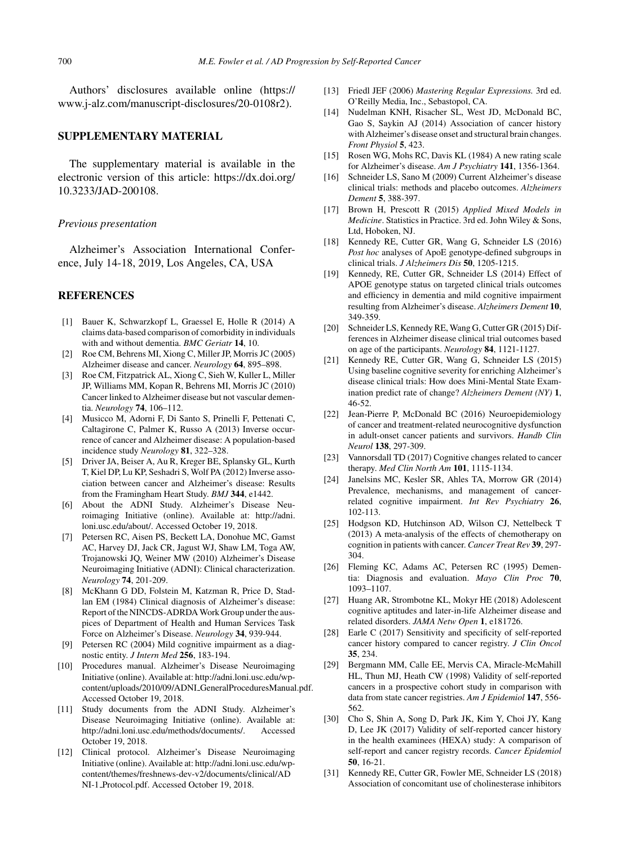Authors' disclosures available online (https:// www.j-alz.com/manuscript-disclosures/20-0108r2).

## **SUPPLEMENTARY MATERIAL**

The supplementary material is available in the electronic version of this article: [https://dx.doi.org/](https://dx.doi.org/10.3233/JAD-200108) 10.3233/JAD-200108.

#### *Previous presentation*

Alzheimer's Association International Conference, July 14-18, 2019, Los Angeles, CA, USA

## **REFERENCES**

- [1] Bauer K, Schwarzkopf L, Graessel E, Holle R (2014) A claims data-based comparison of comorbidity in individuals with and without dementia. *BMC Geriatr* **14**, 10.
- [2] Roe CM, Behrens MI, Xiong C, Miller JP, Morris JC (2005) Alzheimer disease and cancer. *Neurology* **64**, 895–898.
- [3] Roe CM, Fitzpatrick AL, Xiong C, Sieh W, Kuller L, Miller JP, Williams MM, Kopan R, Behrens MI, Morris JC (2010) Cancer linked to Alzheimer disease but not vascular dementia. *Neurology* **74**, 106–112.
- [4] Musicco M, Adorni F, Di Santo S, Prinelli F, Pettenati C, Caltagirone C, Palmer K, Russo A (2013) Inverse occurrence of cancer and Alzheimer disease: A population-based incidence study *Neurology* **81**, 322–328.
- [5] Driver JA, Beiser A, Au R, Kreger BE, Splansky GL, Kurth T, Kiel DP, Lu KP, Seshadri S, Wolf PA (2012) Inverse association between cancer and Alzheimer's disease: Results from the Framingham Heart Study. *BMJ* **344**, e1442.
- [6] About the ADNI Study. Alzheimer's Disease Neuroimaging Initiative (online). Available at: [http://adni.](http://adni.loni.usc.edu/about/) loni.usc.edu/about/. Accessed October 19, 2018.
- [7] Petersen RC, Aisen PS, Beckett LA, Donohue MC, Gamst AC, Harvey DJ, Jack CR, Jagust WJ, Shaw LM, Toga AW, Trojanowski JQ, Weiner MW (2010) Alzheimer's Disease Neuroimaging Initiative (ADNI): Clinical characterization. *Neurology* **74**, 201-209.
- [8] McKhann G DD, Folstein M, Katzman R, Price D, Stadlan EM (1984) Clinical diagnosis of Alzheimer's disease: Report of the NINCDS-ADRDA Work Group under the auspices of Department of Health and Human Services Task Force on Alzheimer's Disease. *Neurology* **34**, 939-944.
- [9] Petersen RC (2004) Mild cognitive impairment as a diagnostic entity. *J Intern Med* **256**, 183-194.
- [10] Procedures manual. Alzheimer's Disease Neuroimaging Initiative (online). Available at: http://adni.loni.usc.edu/wpcontent/uploads/2010/09/ADNI GeneralProceduresManual.pdf. Accessed October 19, 2018.
- [11] Study documents from the ADNI Study. Alzheimer's Disease Neuroimaging Initiative (online). Available at: <http://adni.loni.usc.edu/methods/documents/>. Accessed October 19, 2018.
- [12] Clinical protocol. Alzheimer's Disease Neuroimaging Initiative (online). Available at: [http://adni.loni.usc.edu/wp](http://adni.loni.usc.edu/wp-content/themes/freshnews-dev-v2/documents/clinical/ADNI-1_Protocol.pdx f)content/themes/freshnews-dev-v2/documents/clinical/AD NI-1 Protocol.pdf. Accessed October 19, 2018.
- [13] Friedl JEF (2006) *[Mastering Regular Expressio](https://www.j-alz.com/manuscript-disclosures/20-0108r2)ns.* 3rd ed. O'Reilly Media, Inc., Sebastopol, CA.
- [14] Nudelman KNH, Risacher SL, West JD, McDonald BC, Gao S, Saykin AJ (2014) Association of cancer history with Alzheimer's disease onset and structural brain changes. *Front Physiol* **5**, 423.
- [15] Rosen WG, Mohs RC, Davis KL (1984) A new rating scale for Alzheimer's disease. *Am J Psychiatry* **141**, 1356-1364.
- [16] Schneider LS, Sano M (2009) Current Alzheimer's disease clinical trials: methods and placebo outcomes. *Alzheimers Dement* **5**, 388-397.
- [17] Brown H, Prescott R (2015) *Applied Mixed Models in Medicine*. Statistics in Practice. 3rd ed. John Wiley & Sons, Ltd, Hoboken, NJ.
- [18] Kennedy RE, Cutter GR, Wang G, Schneider LS (2016) *Post hoc* analyses of ApoE genotype-defined subgroups in clinical trials. *J Alzheimers Dis* **50**, 1205-1215.
- [19] Kennedy, RE, Cutter GR, Schneider LS (2014) Effect of APOE genotype status on targeted clinical trials outcomes and efficiency in dementia and mild cognitive impairment resulting from Alzheimer's disease. *Alzheimers Dement* **10**, 349-359.
- [20] Schneider LS, Kennedy RE, Wang G, Cutter GR (2015) Differences in Alzheimer disease clinical trial outcomes based on age of the participants. *Neurology* **84**, 1121-1127.
- [21] Kennedy RE, Cutter GR, Wang G, Schneider LS (2015) Using baseline cognitive severity for enriching Alzheimer's disease clinical trials: How does Mini-Mental State Examination predict rate of change? *Alzheimers Dement (NY)* **1**, 46-52.
- [22] Jean-Pierre P, McDonald BC (2016) Neuroepidemiology of cancer and treatment-related neurocognitive dysfunction in adult-onset cancer patients and survivors. *Handb Clin Neurol* **138**, 297-309.
- [23] Vannorsdall TD (2017) Cognitive changes related to cancer therapy. *Med Clin North Am* **101**, 1115-1134.
- [24] Janelsins MC, Kesler SR, Ahles TA, Morrow GR (2014) Prevalence, mechanisms, and management of cancerrelated cognitive impairment. *Int Rev Psychiatry* **26**, 102-113.
- [25] Hodgson KD, Hutchinson AD, Wilson CJ, Nettelbeck T (2013) A meta-analysis of the effects of chemotherapy on cognition in patients with cancer. *Cancer Treat Rev* **39**, 297- 304.
- [26] Fleming KC, Adams AC, Petersen RC (1995) Dementia: Diagnosis and evaluation. *Mayo Clin Proc* **70**, 1093–1107.
- [27] Huang AR, Strombotne KL, Mokyr HE (2018) Adolescent cognitive aptitudes and later-in-life Alzheimer disease and related disorders. *JAMA Netw Open* **1**, e181726.
- [28] Earle C (2017) Sensitivity and specificity of self-reported cancer history compared to cancer registry. *J Clin Oncol* **35**, 234.
- [29] Bergmann MM, Calle EE, Mervis CA, Miracle-McMahill [HL, Thun MJ, Heath CW \(1998\) Validity of se](http://adni.loni.usc.edu/wp-content/uploads/2010/09/ADNI_GeneralProceduresManual.pdf)lf-reported cancers in a prospective cohort study in comparison with data from state cancer registries. *Am J Epidemiol* **147**, 556- 562.
- [30] Cho S, Shin A, Song D, Park JK, Kim Y, Choi JY, Kang D, Lee JK (2017) Validity of self-reported cancer history in the health examinees (HEXA) study: A comparison of self-report and cancer registry records. *Cancer Epidemiol* **50**, 16-21.
- [31] Kennedy RE, Cutter GR, Fowler ME, Schneider LS (2018) Association of concomitant use of cholinesterase inhibitors